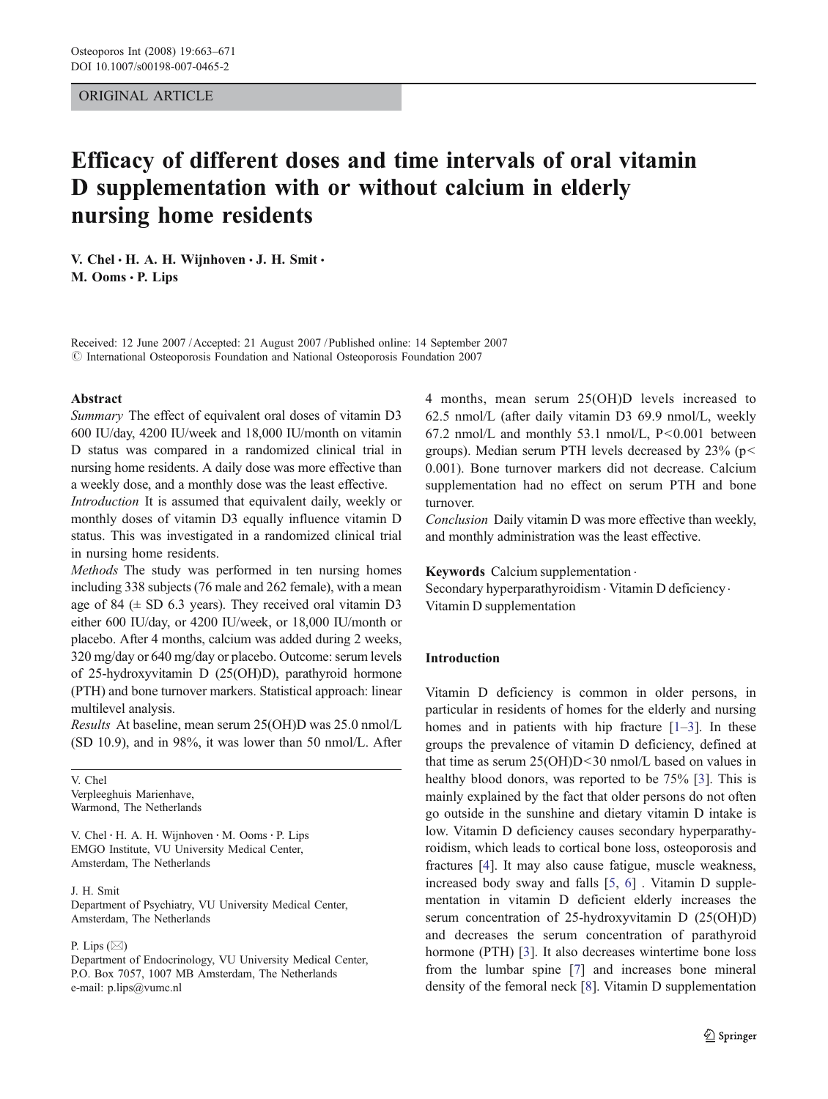## ORIGINAL ARTICLE

# Efficacy of different doses and time intervals of oral vitamin D supplementation with or without calcium in elderly nursing home residents

V. Chel  $\cdot$  H. A. H. Wijnhoven  $\cdot$  J. H. Smit  $\cdot$ M. Ooms · P. Lips

Received: 12 June 2007 /Accepted: 21 August 2007 / Published online: 14 September 2007  $\oslash$  International Osteoporosis Foundation and National Osteoporosis Foundation 2007

#### Abstract

Summary The effect of equivalent oral doses of vitamin D3 600 IU/day, 4200 IU/week and 18,000 IU/month on vitamin D status was compared in a randomized clinical trial in nursing home residents. A daily dose was more effective than a weekly dose, and a monthly dose was the least effective.

Introduction It is assumed that equivalent daily, weekly or monthly doses of vitamin D3 equally influence vitamin D status. This was investigated in a randomized clinical trial in nursing home residents.

Methods The study was performed in ten nursing homes including 338 subjects (76 male and 262 female), with a mean age of 84 ( $\pm$  SD 6.3 years). They received oral vitamin D3 either 600 IU/day, or 4200 IU/week, or 18,000 IU/month or placebo. After 4 months, calcium was added during 2 weeks, 320 mg/day or 640 mg/day or placebo. Outcome: serum levels of 25-hydroxyvitamin D (25(OH)D), parathyroid hormone (PTH) and bone turnover markers. Statistical approach: linear multilevel analysis.

Results At baseline, mean serum 25(OH)D was 25.0 nmol/L (SD 10.9), and in 98%, it was lower than 50 nmol/L. After

V. Chel Verpleeghuis Marienhave, Warmond, The Netherlands

V. Chel  $\cdot$  H. A. H. Wijnhoven  $\cdot$  M. Ooms  $\cdot$  P. Lips EMGO Institute, VU University Medical Center, Amsterdam, The Netherlands

## J. H. Smit

Department of Psychiatry, VU University Medical Center, Amsterdam, The Netherlands

## P. Lips  $(\boxtimes)$

Department of Endocrinology, VU University Medical Center, P.O. Box 7057, 1007 MB Amsterdam, The Netherlands e-mail: p.lips@vumc.nl

4 months, mean serum 25(OH)D levels increased to 62.5 nmol/L (after daily vitamin D3 69.9 nmol/L, weekly 67.2 nmol/L and monthly 53.1 nmol/L,  $P < 0.001$  between groups). Median serum PTH levels decreased by  $23\%$  (p< 0.001). Bone turnover markers did not decrease. Calcium supplementation had no effect on serum PTH and bone turnover.

Conclusion Daily vitamin D was more effective than weekly, and monthly administration was the least effective.

Keywords Calcium supplementation . Secondary hyperparathyroidism . Vitamin D deficiency . Vitamin D supplementation

## Introduction

Vitamin D deficiency is common in older persons, in particular in residents of homes for the elderly and nursing homes and in patients with hip fracture [[1](#page-7-0)–[3\]](#page-7-0). In these groups the prevalence of vitamin D deficiency, defined at that time as serum 25(OH)D<30 nmol/L based on values in healthy blood donors, was reported to be 75% [\[3](#page-7-0)]. This is mainly explained by the fact that older persons do not often go outside in the sunshine and dietary vitamin D intake is low. Vitamin D deficiency causes secondary hyperparathyroidism, which leads to cortical bone loss, osteoporosis and fractures [[4\]](#page-7-0). It may also cause fatigue, muscle weakness, increased body sway and falls [\[5](#page-7-0), [6\]](#page-7-0) . Vitamin D supplementation in vitamin D deficient elderly increases the serum concentration of 25-hydroxyvitamin D (25(OH)D) and decreases the serum concentration of parathyroid hormone (PTH) [\[3](#page-7-0)]. It also decreases wintertime bone loss from the lumbar spine [[7\]](#page-7-0) and increases bone mineral density of the femoral neck [\[8](#page-7-0)]. Vitamin D supplementation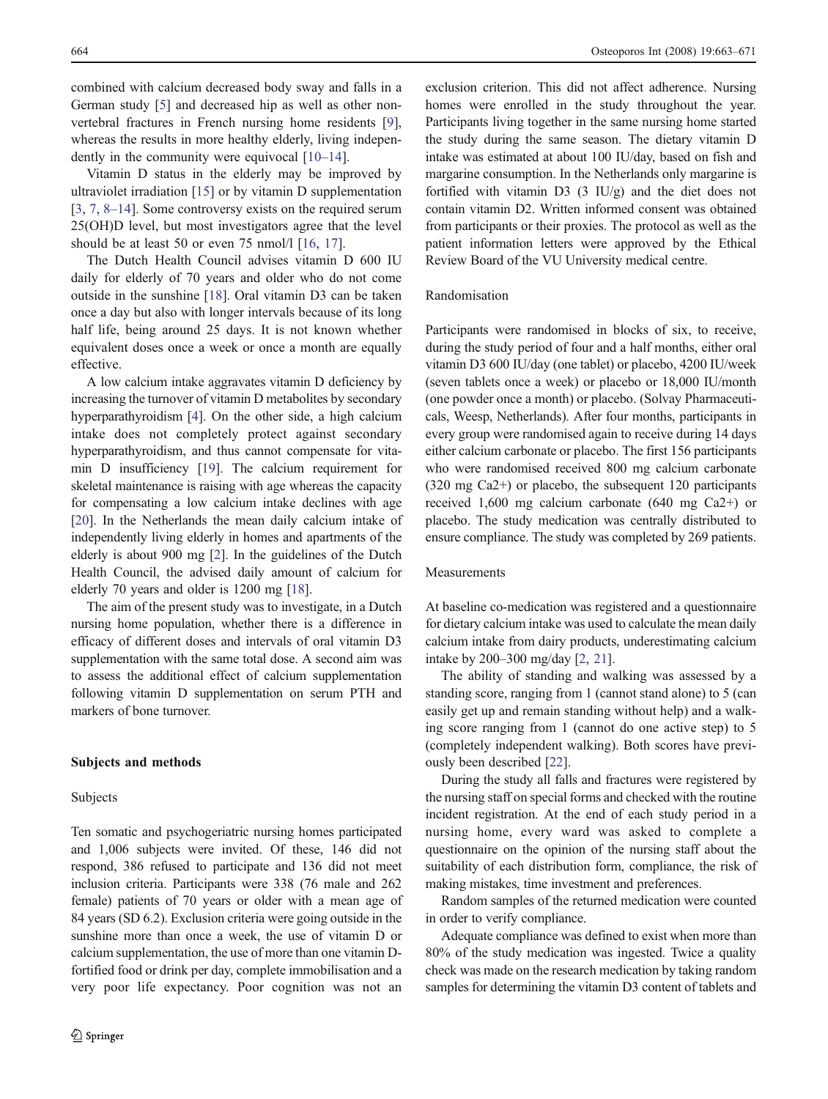combined with calcium decreased body sway and falls in a German study [[5\]](#page-7-0) and decreased hip as well as other nonvertebral fractures in French nursing home residents [\[9](#page-7-0)], whereas the results in more healthy elderly, living independently in the community were equivocal [\[10](#page-7-0)–[14](#page-7-0)].

Vitamin D status in the elderly may be improved by ultraviolet irradiation [\[15](#page-7-0)] or by vitamin D supplementation [\[3](#page-7-0), [7](#page-7-0), [8](#page-7-0)–[14](#page-7-0)]. Some controversy exists on the required serum 25(OH)D level, but most investigators agree that the level should be at least 50 or even 75 nmol/l [\[16](#page-7-0), [17](#page-7-0)].

The Dutch Health Council advises vitamin D 600 IU daily for elderly of 70 years and older who do not come outside in the sunshine [\[18](#page-7-0)]. Oral vitamin D3 can be taken once a day but also with longer intervals because of its long half life, being around 25 days. It is not known whether equivalent doses once a week or once a month are equally effective.

A low calcium intake aggravates vitamin D deficiency by increasing the turnover of vitamin D metabolites by secondary hyperparathyroidism [[4\]](#page-7-0). On the other side, a high calcium intake does not completely protect against secondary hyperparathyroidism, and thus cannot compensate for vitamin D insufficiency [\[19](#page-7-0)]. The calcium requirement for skeletal maintenance is raising with age whereas the capacity for compensating a low calcium intake declines with age [\[20\]](#page-7-0). In the Netherlands the mean daily calcium intake of independently living elderly in homes and apartments of the elderly is about 900 mg [\[2\]](#page-7-0). In the guidelines of the Dutch Health Council, the advised daily amount of calcium for elderly 70 years and older is 1200 mg [\[18](#page-7-0)].

The aim of the present study was to investigate, in a Dutch nursing home population, whether there is a difference in efficacy of different doses and intervals of oral vitamin D3 supplementation with the same total dose. A second aim was to assess the additional effect of calcium supplementation following vitamin D supplementation on serum PTH and markers of bone turnover.

#### Subjects and methods

### Subjects

Ten somatic and psychogeriatric nursing homes participated and 1,006 subjects were invited. Of these, 146 did not respond, 386 refused to participate and 136 did not meet inclusion criteria. Participants were 338 (76 male and 262 female) patients of 70 years or older with a mean age of 84 years (SD 6.2). Exclusion criteria were going outside in the sunshine more than once a week, the use of vitamin D or calcium supplementation, the use of more than one vitamin Dfortified food or drink per day, complete immobilisation and a very poor life expectancy. Poor cognition was not an

exclusion criterion. This did not affect adherence. Nursing homes were enrolled in the study throughout the year. Participants living together in the same nursing home started the study during the same season. The dietary vitamin D intake was estimated at about 100 IU/day, based on fish and margarine consumption. In the Netherlands only margarine is fortified with vitamin D3 (3 IU/g) and the diet does not contain vitamin D2. Written informed consent was obtained from participants or their proxies. The protocol as well as the patient information letters were approved by the Ethical Review Board of the VU University medical centre.

## Randomisation

Participants were randomised in blocks of six, to receive, during the study period of four and a half months, either oral vitamin D3 600 IU/day (one tablet) or placebo, 4200 IU/week (seven tablets once a week) or placebo or 18,000 IU/month (one powder once a month) or placebo. (Solvay Pharmaceuticals, Weesp, Netherlands). After four months, participants in every group were randomised again to receive during 14 days either calcium carbonate or placebo. The first 156 participants who were randomised received 800 mg calcium carbonate (320 mg Ca2+) or placebo, the subsequent 120 participants received 1,600 mg calcium carbonate (640 mg Ca2+) or placebo. The study medication was centrally distributed to ensure compliance. The study was completed by 269 patients.

#### Measurements

At baseline co-medication was registered and a questionnaire for dietary calcium intake was used to calculate the mean daily calcium intake from dairy products, underestimating calcium intake by 200–300 mg/day [[2,](#page-7-0) [21](#page-8-0)].

The ability of standing and walking was assessed by a standing score, ranging from 1 (cannot stand alone) to 5 (can easily get up and remain standing without help) and a walking score ranging from 1 (cannot do one active step) to 5 (completely independent walking). Both scores have previously been described [\[22](#page-8-0)].

During the study all falls and fractures were registered by the nursing staff on special forms and checked with the routine incident registration. At the end of each study period in a nursing home, every ward was asked to complete a questionnaire on the opinion of the nursing staff about the suitability of each distribution form, compliance, the risk of making mistakes, time investment and preferences.

Random samples of the returned medication were counted in order to verify compliance.

Adequate compliance was defined to exist when more than 80% of the study medication was ingested. Twice a quality check was made on the research medication by taking random samples for determining the vitamin D3 content of tablets and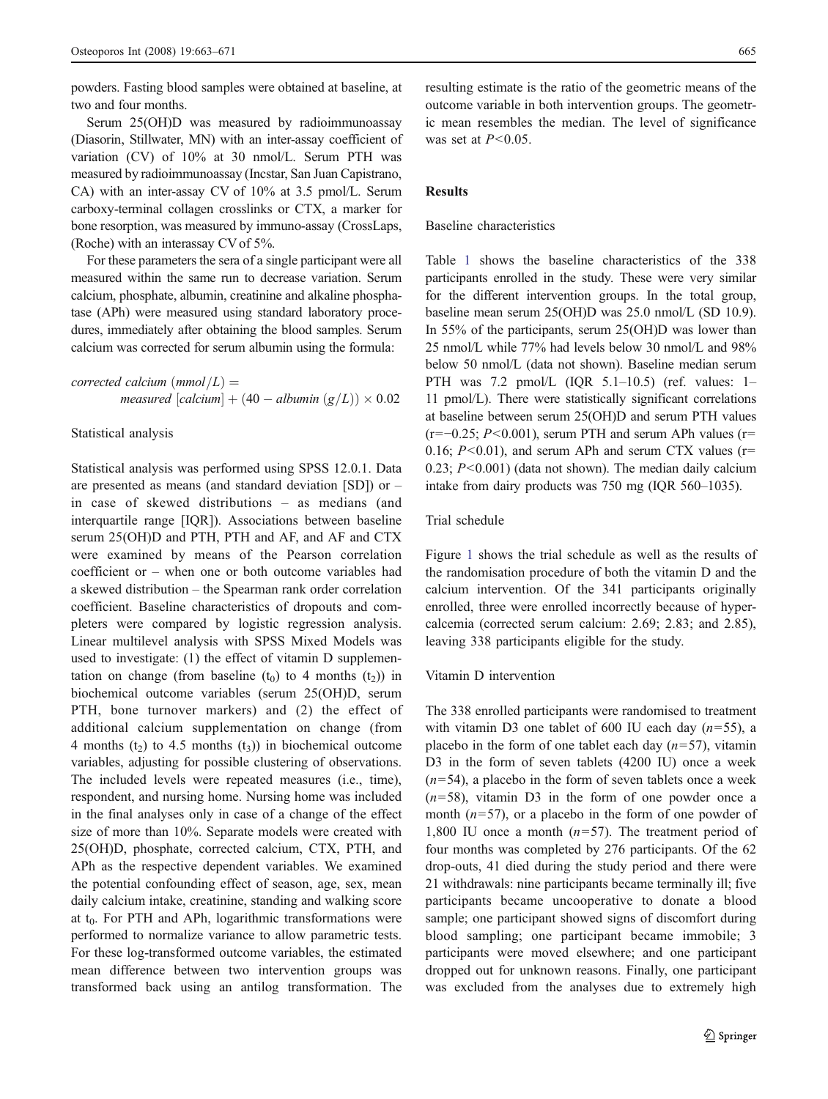powders. Fasting blood samples were obtained at baseline, at two and four months.

Serum 25(OH)D was measured by radioimmunoassay (Diasorin, Stillwater, MN) with an inter-assay coefficient of variation (CV) of 10% at 30 nmol/L. Serum PTH was measured by radioimmunoassay (Incstar, San Juan Capistrano, CA) with an inter-assay CV of 10% at 3.5 pmol/L. Serum carboxy-terminal collagen crosslinks or CTX, a marker for bone resorption, was measured by immuno-assay (CrossLaps, (Roche) with an interassay CV of 5%.

For these parameters the sera of a single participant were all measured within the same run to decrease variation. Serum calcium, phosphate, albumin, creatinine and alkaline phosphatase (APh) were measured using standard laboratory procedures, immediately after obtaining the blood samples. Serum calcium was corrected for serum albumin using the formula:

corrected calcium  $\text{(mmol/L)} =$ measured  $[calium] + (40 - albumin (g/L)) \times 0.02$ 

#### Statistical analysis

Statistical analysis was performed using SPSS 12.0.1. Data are presented as means (and standard deviation [SD]) or – in case of skewed distributions – as medians (and interquartile range [IQR]). Associations between baseline serum 25(OH)D and PTH, PTH and AF, and AF and CTX were examined by means of the Pearson correlation coefficient or – when one or both outcome variables had a skewed distribution – the Spearman rank order correlation coefficient. Baseline characteristics of dropouts and completers were compared by logistic regression analysis. Linear multilevel analysis with SPSS Mixed Models was used to investigate: (1) the effect of vitamin D supplementation on change (from baseline  $(t_0)$  to 4 months  $(t_2)$ ) in biochemical outcome variables (serum 25(OH)D, serum PTH, bone turnover markers) and (2) the effect of additional calcium supplementation on change (from 4 months ( $t_2$ ) to 4.5 months ( $t_3$ )) in biochemical outcome variables, adjusting for possible clustering of observations. The included levels were repeated measures (i.e., time), respondent, and nursing home. Nursing home was included in the final analyses only in case of a change of the effect size of more than 10%. Separate models were created with 25(OH)D, phosphate, corrected calcium, CTX, PTH, and APh as the respective dependent variables. We examined the potential confounding effect of season, age, sex, mean daily calcium intake, creatinine, standing and walking score at  $t_0$ . For PTH and APh, logarithmic transformations were performed to normalize variance to allow parametric tests. For these log-transformed outcome variables, the estimated mean difference between two intervention groups was transformed back using an antilog transformation. The

resulting estimate is the ratio of the geometric means of the outcome variable in both intervention groups. The geometric mean resembles the median. The level of significance was set at  $P < 0.05$ .

# **Results**

# Baseline characteristics

Table [1](#page-3-0) shows the baseline characteristics of the 338 participants enrolled in the study. These were very similar for the different intervention groups. In the total group, baseline mean serum 25(OH)D was 25.0 nmol/L (SD 10.9). In 55% of the participants, serum 25(OH)D was lower than 25 nmol/L while 77% had levels below 30 nmol/L and 98% below 50 nmol/L (data not shown). Baseline median serum PTH was 7.2 pmol/L (IQR 5.1–10.5) (ref. values: 1– 11 pmol/L). There were statistically significant correlations at baseline between serum 25(OH)D and serum PTH values  $(r=-0.25; P<0.001)$ , serum PTH and serum APh values (r= 0.16;  $P<0.01$ ), and serum APh and serum CTX values ( $r=$ 0.23;  $P < 0.001$ ) (data not shown). The median daily calcium intake from dairy products was 750 mg (IQR 560–1035).

## Trial schedule

Figure [1](#page-3-0) shows the trial schedule as well as the results of the randomisation procedure of both the vitamin D and the calcium intervention. Of the 341 participants originally enrolled, three were enrolled incorrectly because of hypercalcemia (corrected serum calcium: 2.69; 2.83; and 2.85), leaving 338 participants eligible for the study.

## Vitamin D intervention

The 338 enrolled participants were randomised to treatment with vitamin D3 one tablet of 600 IU each day  $(n=55)$ , a placebo in the form of one tablet each day  $(n=57)$ , vitamin D3 in the form of seven tablets (4200 IU) once a week  $(n=54)$ , a placebo in the form of seven tablets once a week  $(n=58)$ , vitamin D3 in the form of one powder once a month  $(n=57)$ , or a placebo in the form of one powder of 1,800 IU once a month  $(n=57)$ . The treatment period of four months was completed by 276 participants. Of the 62 drop-outs, 41 died during the study period and there were 21 withdrawals: nine participants became terminally ill; five participants became uncooperative to donate a blood sample; one participant showed signs of discomfort during blood sampling; one participant became immobile; 3 participants were moved elsewhere; and one participant dropped out for unknown reasons. Finally, one participant was excluded from the analyses due to extremely high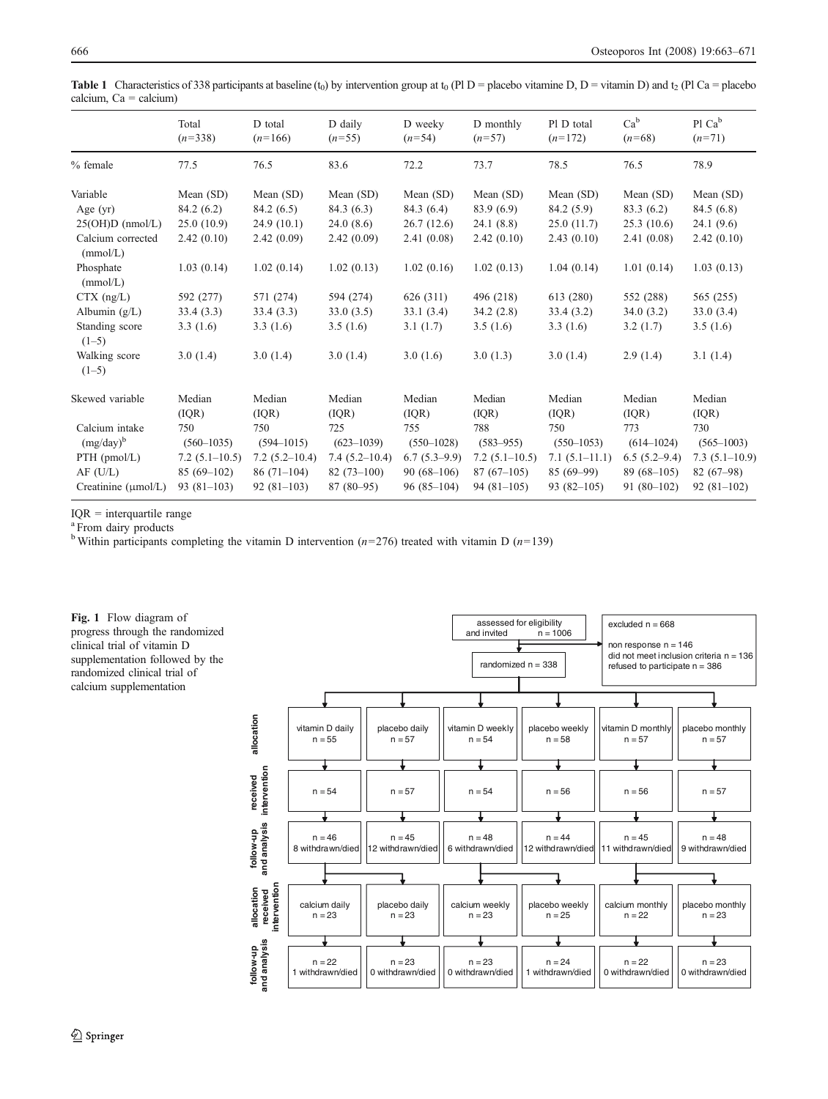<span id="page-3-0"></span>

| <b>Table 1</b> Characteristics of 338 participants at baseline (t <sub>0</sub> ) by intervention group at t <sub>0</sub> (Pl D = placebo vitamine D, D = vitamin D) and t <sub>2</sub> (Pl Ca = placebo |
|---------------------------------------------------------------------------------------------------------------------------------------------------------------------------------------------------------|
| calcium. $Ca = calcium$                                                                                                                                                                                 |

|                                                                                                                                                                                                    | Total<br>$(n=338)$                                                                                                 | D total<br>$(n=166)$                                                                                               | D daily<br>$(n=55)$                                                                                               | D weeky<br>$(n=54)$                                                                                                | D monthly<br>$(n=57)$                                                                                              | Pl D total<br>$(n=172)$                                                                                            | Ca <sup>b</sup><br>$(n=68)$                                                                                        | Pl Ca <sup>b</sup><br>$(n=71)$                                                                                     |
|----------------------------------------------------------------------------------------------------------------------------------------------------------------------------------------------------|--------------------------------------------------------------------------------------------------------------------|--------------------------------------------------------------------------------------------------------------------|-------------------------------------------------------------------------------------------------------------------|--------------------------------------------------------------------------------------------------------------------|--------------------------------------------------------------------------------------------------------------------|--------------------------------------------------------------------------------------------------------------------|--------------------------------------------------------------------------------------------------------------------|--------------------------------------------------------------------------------------------------------------------|
| % female                                                                                                                                                                                           | 77.5                                                                                                               | 76.5                                                                                                               | 83.6                                                                                                              | 72.2                                                                                                               | 73.7                                                                                                               | 78.5                                                                                                               | 76.5                                                                                                               | 78.9                                                                                                               |
| Variable<br>Age $(yr)$<br>$25(OH)D$ (nmol/L)<br>Calcium corrected<br>(mmol/L)<br>Phosphate<br>(mmol/L)<br>$CTX$ (ng/L)<br>Albumin $(g/L)$<br>Standing score<br>$(1-5)$<br>Walking score<br>$(1-5)$ | Mean (SD)<br>84.2(6.2)<br>25.0(10.9)<br>2.42(0.10)<br>1.03(0.14)<br>592 (277)<br>33.4(3.3)<br>3.3(1.6)<br>3.0(1.4) | Mean (SD)<br>84.2(6.5)<br>24.9(10.1)<br>2.42(0.09)<br>1.02(0.14)<br>571 (274)<br>33.4(3.3)<br>3.3(1.6)<br>3.0(1.4) | Mean (SD)<br>84.3(6.3)<br>24.0(8.6)<br>2.42(0.09)<br>1.02(0.13)<br>594 (274)<br>33.0(3.5)<br>3.5(1.6)<br>3.0(1.4) | Mean (SD)<br>84.3 (6.4)<br>26.7(12.6)<br>2.41(0.08)<br>1.02(0.16)<br>626(311)<br>33.1(3.4)<br>3.1(1.7)<br>3.0(1.6) | Mean (SD)<br>83.9 (6.9)<br>24.1(8.8)<br>2.42(0.10)<br>1.02(0.13)<br>496 (218)<br>34.2(2.8)<br>3.5(1.6)<br>3.0(1.3) | Mean (SD)<br>84.2(5.9)<br>25.0(11.7)<br>2.43(0.10)<br>1.04(0.14)<br>613 (280)<br>33.4(3.2)<br>3.3(1.6)<br>3.0(1.4) | Mean (SD)<br>83.3(6.2)<br>25.3(10.6)<br>2.41(0.08)<br>1.01(0.14)<br>552 (288)<br>34.0(3.2)<br>3.2(1.7)<br>2.9(1.4) | Mean (SD)<br>84.5 (6.8)<br>24.1(9.6)<br>2.42(0.10)<br>1.03(0.13)<br>565 (255)<br>33.0(3.4)<br>3.5(1.6)<br>3.1(1.4) |
| Skewed variable<br>Calcium intake<br>$(mg/day)^b$<br>$PTH$ (pmol/L)<br>$AF$ (U/L)<br>Creatinine $(\mu \text{mol/L})$                                                                               | Median<br>(IQR)<br>750<br>$(560 - 1035)$<br>$7.2(5.1-10.5)$<br>$85(69-102)$<br>$93(81-103)$                        | Median<br>(IQR)<br>750<br>$(594 - 1015)$<br>$7.2(5.2-10.4)$<br>$86(71-104)$<br>$92(81-103)$                        | Median<br>(IQR)<br>725<br>$(623 - 1039)$<br>$7.4(5.2 - 10.4)$<br>$82(73-100)$<br>$87(80-95)$                      | Median<br>(IQR)<br>755<br>$(550 - 1028)$<br>$6.7(5.3-9.9)$<br>$90(68-106)$<br>$96(85-104)$                         | Median<br>(IQR)<br>788<br>$(583 - 955)$<br>$7.2(5.1-10.5)$<br>$87(67-105)$<br>$94(81-105)$                         | Median<br>(IQR)<br>750<br>$(550 - 1053)$<br>$7.1(5.1 - 11.1)$<br>$85(69-99)$<br>$93(82-105)$                       | Median<br>(IQR)<br>773<br>$(614 - 1024)$<br>$6.5(5.2-9.4)$<br>$89(68-105)$<br>$91(80-102)$                         | Median<br>(IQR)<br>730<br>$(565 - 1003)$<br>$7.3(5.1-10.9)$<br>$82(67-98)$<br>$92(81-102)$                         |

IQR = interquartile range

<sup>a</sup> From dairy products

<sup>b</sup> Within participants completing the vitamin D intervention ( $n=276$ ) treated with vitamin D ( $n=139$ )

Fig. 1 Flow diagram of progress through the randomized clinical trial of vitamin D supplementation followed by the randomized clinical trial of calcium supplementation

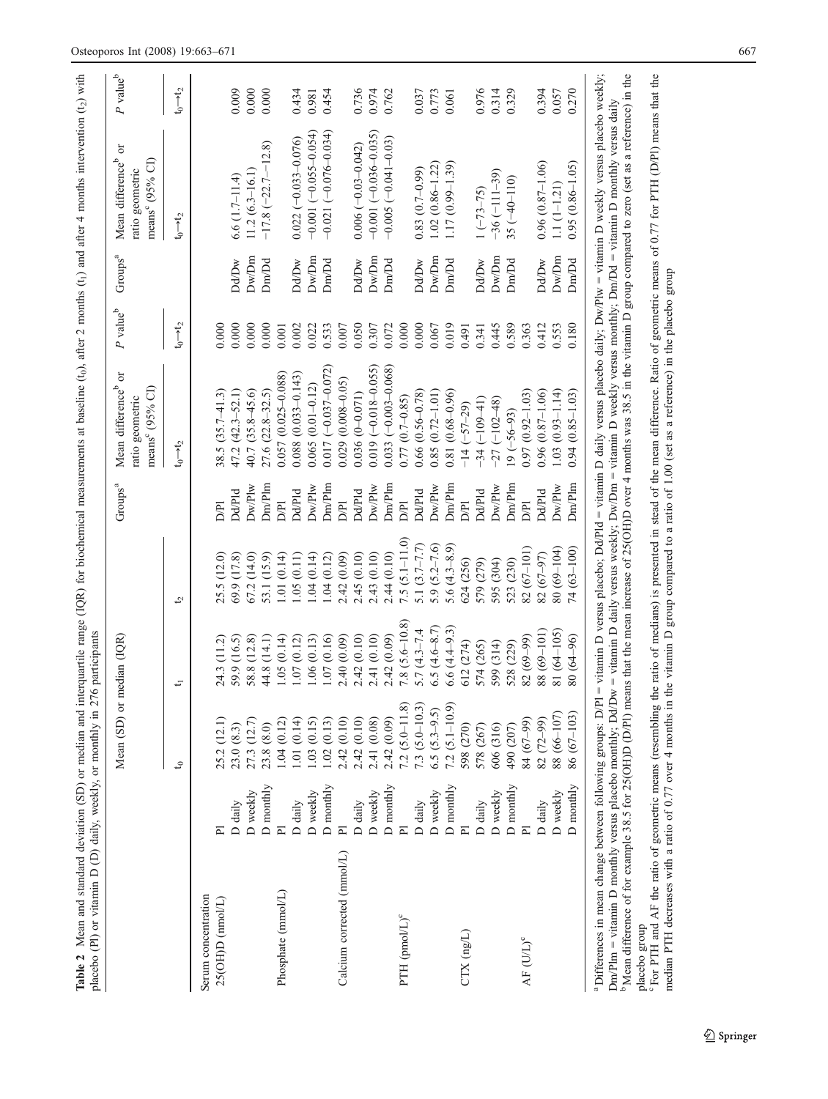|                            |                   | Mean (SD) or                                                                 | median (IQR)       |                   | Groups <sup>a</sup>  | ð<br>Mean difference <sup>b</sup><br>means <sup>c</sup> (95% CI)<br>ratio geometric | $P$ value <sup>b</sup> | Groups <sup>a</sup> | ð<br>Mean difference <sup>b</sup><br>means <sup>c</sup> (95% CI)<br>ratio geometric | $P$ value <sup>b</sup> |
|----------------------------|-------------------|------------------------------------------------------------------------------|--------------------|-------------------|----------------------|-------------------------------------------------------------------------------------|------------------------|---------------------|-------------------------------------------------------------------------------------|------------------------|
|                            |                   | $\mathfrak{c}_1$                                                             | ÷,                 | 12                |                      | $t_0 \rightarrow t_2$                                                               | $t_0 \rightarrow t_2$  |                     | $t_0 \rightarrow t_2$                                                               | $t_0 \rightarrow t_2$  |
| Serum concentration        |                   |                                                                              |                    |                   |                      |                                                                                     |                        |                     |                                                                                     |                        |
| 25(OHD (mmol/L))           | 즈                 | 25.2(12.1)                                                                   | 24.3(11.2)         | 25.5 (12.0)       | <b>PI</b>            | 38.5 (35.7-41.3)                                                                    | 0.000                  |                     |                                                                                     |                        |
|                            | D daily           |                                                                              | 59.9 (16.5)        | 69.9 (17.8)       | Dd/Pld               | $47.2(42.3 - 52.1)$                                                                 | 0.000                  | <b>Dd/Dw</b>        | $6.6(1.7-11.4)$                                                                     | 0.009                  |
|                            | D weekly          |                                                                              | 58.8 (12.8)        | 67.2 (14.0)       | $DwP$ lw             | 40.7 (35.8-45.6)                                                                    | 0.000                  | Dw/Dm               | $11.2(6.3 - 16.1)$                                                                  | 0.000                  |
|                            | D monthly         | $\begin{array}{c} 23.0 \ (8.3) \\ 27.3 \ (12.7) \\ 23.8 \ (8.0) \end{array}$ | 44.8 (14.1)        | 53.1 (15.9)       | <b>Dm/Plm</b>        | 27.6 (22.8-32.5)                                                                    | 0.000                  | Dm/Dd               | $-17.8$ ( $-22.7$ –12.8)                                                            | 0.000                  |
| Phosphate (mmol/L)         | $\overline{P}$    | 1.04(0.12)                                                                   | 1.05(0.14)         | 1.01(0.14)        | $\overline{R}$       | $0.057(0.025 - 0.088)$                                                              | 0.001                  |                     |                                                                                     |                        |
|                            | D daily           | 1.01(0.14)                                                                   | 1.07(0.12)         | (.05(0.11))       | <b>Dd/Pld</b>        | $0.088(0.033 - 0.143)$                                                              | 0.002                  | <b>Dd/Dw</b>        | $0.022 (-0.033 - 0.076)$                                                            | 0.434                  |
|                            | D weekly          | 1.03(0.15)                                                                   | 1.06(0.13)         | 0.04(0.14)        | Dw/Plw               | $0.065(0.01 - 0.12)$                                                                | 0.022                  | Dw/Dm               | $-0.001(-0.055-0.054)$                                                              | 0.981                  |
|                            | ${\bf D}$ monthly | 1.02(0.13)                                                                   | 1.07(0.16)         | 1.04(0.12)        | Dm/Plm               | $0.017 (-0.037 - 0.072)$                                                            | 0.533                  | Dm/Dd               | $-0.021(-0.076 - 0.034)$                                                            | 0.454                  |
| Calcium corrected (mmol/L) | $\overline{P}$    | 2.42(0.10)                                                                   | 2.40 (0.09)        | 2.42 (0.09)       | <b>PE</b>            | $0.029(0.008 - 0.05)$                                                               | $0.007$                |                     |                                                                                     |                        |
|                            | D daily           | 2.42 (0.10)                                                                  | 2.42 (0.10)        | 2.45 (0.10)       | <b>Dd/Pld</b>        | $0.036(0-0.071)$                                                                    | 0.050                  | <b>Dd/Dw</b>        | $0.006(-0.03-0.042)$                                                                | 0.736                  |
|                            | D weekly          | 2.41 (0.08)                                                                  | 2.41 (0.10)        | 2.43 (0.10)       | Dw/Plw               | $0.019 (-0.018 - 0.055)$                                                            | 0.307                  | Dw/Dm               | $-0.001(-0.036-0.035)$                                                              | 0.974                  |
|                            | D monthly         | 2.42 (0.09)                                                                  | 2.42 (0.09)        | 2.44 (0.10)       | <b>Dm/Plm</b>        | $0.033(-0.003 - 0.068)$                                                             | 0.072                  | Dm/Dd               | $-0.005(-0.041-0.03)$                                                               | 0.762                  |
| PTH (pmol/L) <sup>c</sup>  | $\overline{P}$    | $7.2 (5.0 - 11.8)$                                                           | 7.8 $(5.6 - 10.8)$ | $7.5(5.1 - 11.0)$ | <b>DPI</b>           | $0.77(0.7-0.85)$                                                                    | 0.000                  |                     |                                                                                     |                        |
|                            | D daily           | $7.3(5.0-10.3)$                                                              | 5.7 $(4.3 - 7.4$   | 5.1 $(3.7 - 7.7)$ | <b>Dd/Pld</b>        | $0.66(0.56 - 0.78)$                                                                 | $0.000$                | <b>Dd/Dw</b>        | $0.83(0.7-0.99)$                                                                    | 0.037                  |
|                            | D weekly          | 6.5 $(5.3 - 9.5)$                                                            | 6.5 $(4.6 - 8.7)$  | 5.9 $(5.2 - 7.6)$ | $DwP$ <sup>I</sup> w | $0.85(0.72 - 1.01)$                                                                 | 0.067                  | Dw/Dm               | $1.02(0.86 - 1.22)$                                                                 | 0.773                  |
|                            | D monthly         | $7.2 (5.1 - 10.9)$                                                           | $6.6(4.4-9.3)$     | 5.6 $(4.3-8.9)$   | <b>Dm/Plm</b>        | 0.81 (0.68-0.96)                                                                    | 0.019                  | Dm/Dd               | 1.17 (0.99-1.39)                                                                    | 0.061                  |
| $CTX$ (ng/L)               | $\overline{P}$    | 598 (270)                                                                    | 612 (274)          | 624 (256)         | DPI                  | $-14(-57-29)$                                                                       | 0.491                  |                     |                                                                                     |                        |
|                            | D daily           | 578 (267)                                                                    | 574 (265)          | 579 (279)         | <b>Dd/Pld</b>        | $-34(-109-41)$                                                                      | 0.341                  | <b>Dd/Dw</b>        | $1(-73-75)$                                                                         | 0.976                  |
|                            | D weekly          | 606 (316)                                                                    | 599 (314)          | 595 (304)         | $DwP$ <sup>I</sup> w | $-27$ ( $-102 - 48$ )                                                               | 0.445                  | Dw/Dm               | $-36(-111-39)$                                                                      | 0.314                  |
|                            | D monthly         | 490 (207)                                                                    | 528 (229)          | 523 (230)         | <b>Dm/Plm</b>        | $19(-56-93)$                                                                        | 0.589                  | Dm/Dd               | 35 $(-40-110)$                                                                      | 0.329                  |
| AF $(U/L)^c$               | $\overline{P}$    | 84 (67-99)                                                                   | $82(69-99)$        | $82(67 - 101)$    | $\overline{R}$       | $0.97(0.92 - 1.03)$                                                                 | 0.363                  |                     |                                                                                     |                        |
|                            | D daily           | 82 (72-99)                                                                   | 88 (69-101)        | 82 (67-97)        | <b>Dd/Pld</b>        | $0.96(0.87 - 1.06)$                                                                 | 0.412                  | <b>Dd/Dw</b>        | $0.96(0.87 - 1.06)$                                                                 | 0.394                  |
|                            | D weekly          | 88 (66-107)                                                                  | 81 $(64 - 105)$    | 80 (69-104)       | Dw/Plw               | $1.03(0.93 - 1.14)$                                                                 | 0.553                  | Dw/Dm               | $1.1(1 - 1.21)$                                                                     | 0.057                  |
|                            | D monthly         | $86(67-103)$                                                                 | 80 (64-96)         | 74 (63-100)       | Dm/Plm               | $0.94(0.85 - 1.03)$                                                                 | 0.180                  | Dm/Dd               | $0.95(0.86 - 1.05)$                                                                 | 0.270                  |

<sup>6</sup> For PTH and AF the ratio of geometric means (resembling the ratio of medians) is presented in stead of the mean difference. Ratio of geometric means of 0.77 for PTH (D/Pl) means that the median PTH decreases with a rat Mean difference of for example 38.5 for 25(OH)D (D/PI) means that the mean increase of 25(OH)D over 4 months was 38.5 in the vitamin D group compared to zero (set as a reference) in the b Mean difference of for example 38.5 for 25(OH)D (D/Pl) means that the mean increase of 25(OH)D over 4 months was 38.5 in the vitamin D group compared to zero (set as a reference) in the For PTH and AF the ratio of geometric means (resembling the ratio of medians) is presented in stead of the mean difference. Ratio of geometric means of 0.77 for PTH (D/Pl) means that the median PTH decreases with a ratio of 0.77 over 4 months in the vitamin D group compared to a ratio of 1.00 (set as a reference) in the placebo group placebo group placebo group

Table 2 Mean and standard deviation (SD) or median and interquartile range (IQR) for biochemical measurements at baseline (t0), after 2 months (t1) and after 4 months intervention (t2) with

<span id="page-4-0"></span>Table 2 Mean and standard deviation (SD) or median and interquartile range (IQR) for biochemical measurements at baseline (to), after 2 months (t<sub>1</sub>) and after 4 months intervention (t<sub>2</sub>) with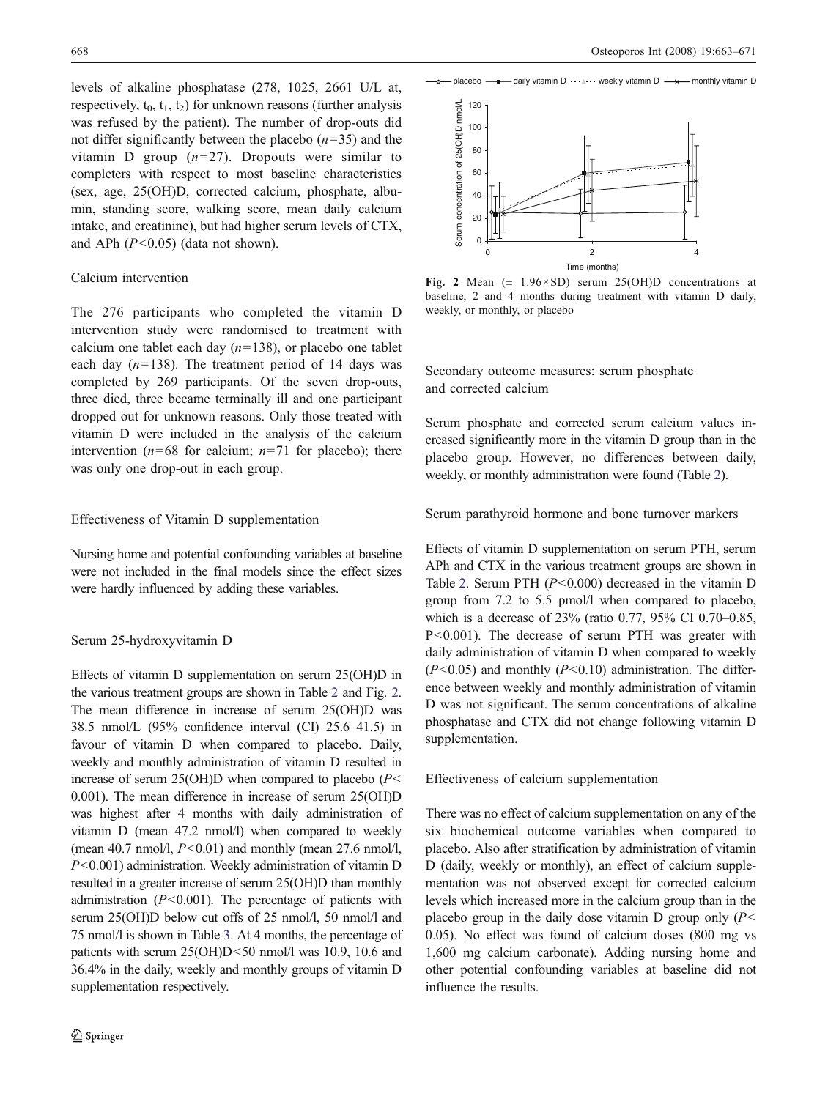levels of alkaline phosphatase (278, 1025, 2661 U/L at, respectively,  $t_0$ ,  $t_1$ ,  $t_2$ ) for unknown reasons (further analysis was refused by the patient). The number of drop-outs did not differ significantly between the placebo  $(n=35)$  and the vitamin D group  $(n=27)$ . Dropouts were similar to completers with respect to most baseline characteristics (sex, age, 25(OH)D, corrected calcium, phosphate, albumin, standing score, walking score, mean daily calcium intake, and creatinine), but had higher serum levels of CTX, and APh  $(P<0.05)$  (data not shown).

## Calcium intervention

The 276 participants who completed the vitamin D intervention study were randomised to treatment with calcium one tablet each day  $(n=138)$ , or placebo one tablet each day  $(n=138)$ . The treatment period of 14 days was completed by 269 participants. Of the seven drop-outs, three died, three became terminally ill and one participant dropped out for unknown reasons. Only those treated with vitamin D were included in the analysis of the calcium intervention ( $n=68$  for calcium;  $n=71$  for placebo); there was only one drop-out in each group.

#### Effectiveness of Vitamin D supplementation

Nursing home and potential confounding variables at baseline were not included in the final models since the effect sizes were hardly influenced by adding these variables.

#### Serum 25-hydroxyvitamin D

Effects of vitamin D supplementation on serum 25(OH)D in the various treatment groups are shown in Table [2](#page-4-0) and Fig. 2. The mean difference in increase of serum 25(OH)D was 38.5 nmol/L (95% confidence interval (CI) 25.6–41.5) in favour of vitamin D when compared to placebo. Daily, weekly and monthly administration of vitamin D resulted in increase of serum 25(OH)D when compared to placebo  $(P<$ 0.001). The mean difference in increase of serum 25(OH)D was highest after 4 months with daily administration of vitamin D (mean 47.2 nmol/l) when compared to weekly (mean 40.7 nmol/l,  $P<0.01$ ) and monthly (mean 27.6 nmol/l, P<0.001) administration. Weekly administration of vitamin D resulted in a greater increase of serum 25(OH)D than monthly administration  $(P<0.001)$ . The percentage of patients with serum 25(OH)D below cut offs of 25 nmol/l, 50 nmol/l and 75 nmol/l is shown in Table [3.](#page-6-0) At 4 months, the percentage of patients with serum 25(OH)D<50 nmol/l was 10.9, 10.6 and 36.4% in the daily, weekly and monthly groups of vitamin D supplementation respectively.



Fig. 2 Mean  $(\pm 1.96 \times SD)$  serum 25(OH)D concentrations at baseline, 2 and 4 months during treatment with vitamin D daily, weekly, or monthly, or placebo

Secondary outcome measures: serum phosphate and corrected calcium

Serum phosphate and corrected serum calcium values increased significantly more in the vitamin D group than in the placebo group. However, no differences between daily, weekly, or monthly administration were found (Table [2\)](#page-4-0).

#### Serum parathyroid hormone and bone turnover markers

Effects of vitamin D supplementation on serum PTH, serum APh and CTX in the various treatment groups are shown in Table [2](#page-4-0). Serum PTH  $(P<0.000)$  decreased in the vitamin D group from 7.2 to 5.5 pmol/l when compared to placebo, which is a decrease of 23% (ratio 0.77, 95% CI 0.70–0.85, P<0.001). The decrease of serum PTH was greater with daily administration of vitamin D when compared to weekly  $(P<0.05)$  and monthly  $(P<0.10)$  administration. The difference between weekly and monthly administration of vitamin D was not significant. The serum concentrations of alkaline phosphatase and CTX did not change following vitamin D supplementation.

## Effectiveness of calcium supplementation

There was no effect of calcium supplementation on any of the six biochemical outcome variables when compared to placebo. Also after stratification by administration of vitamin D (daily, weekly or monthly), an effect of calcium supplementation was not observed except for corrected calcium levels which increased more in the calcium group than in the placebo group in the daily dose vitamin D group only  $(P<$ 0.05). No effect was found of calcium doses (800 mg vs 1,600 mg calcium carbonate). Adding nursing home and other potential confounding variables at baseline did not influence the results.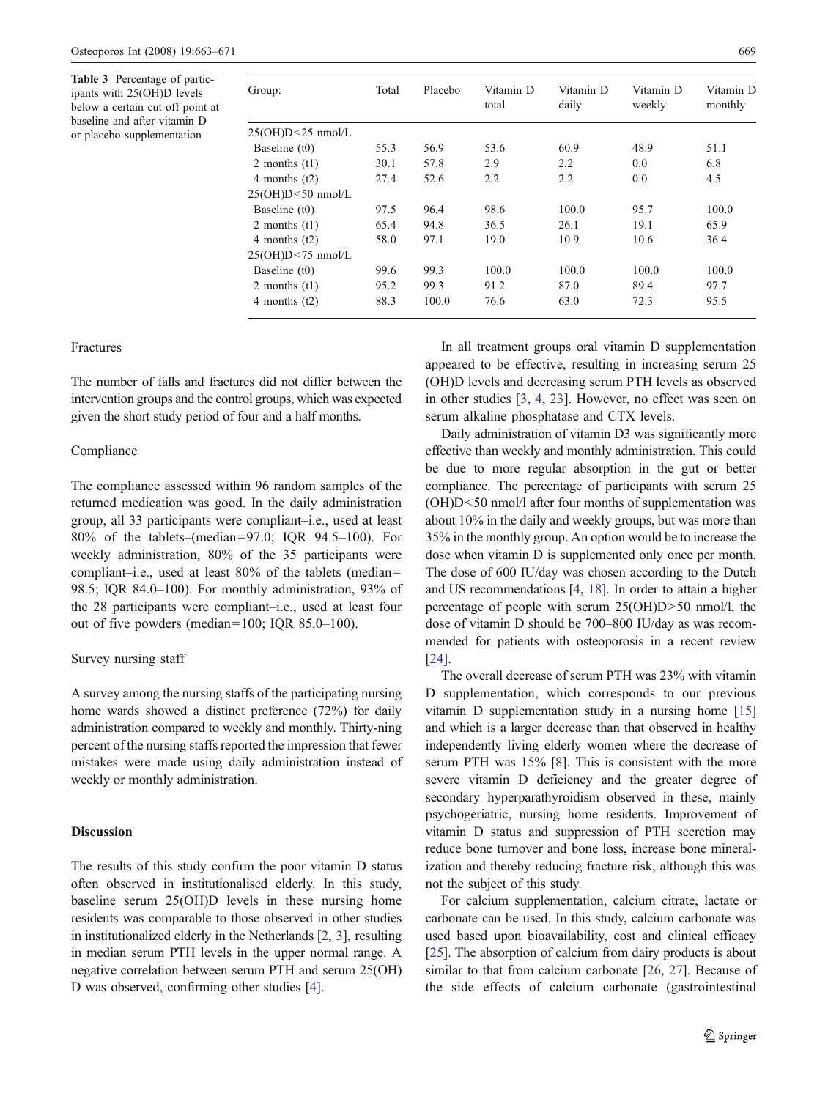<span id="page-6-0"></span>Table 3 Percentage of participants with 25(OH)D levels below a certain cut-off point at baseline and after vitamin D or placebo supplementation

| Group:            | Total | Placebo | Vitamin D<br>total | Vitamin D<br>daily | Vitamin D<br>weekly | Vitamin D<br>monthly |
|-------------------|-------|---------|--------------------|--------------------|---------------------|----------------------|
| 25(OH)D<25 nmol/L |       |         |                    |                    |                     |                      |
| Baseline (t0)     | 55.3  | 56.9    | 53.6               | 60.9               | 48.9                | 51.1                 |
| 2 months $(t1)$   | 30.1  | 57.8    | 2.9                | 2.2                | 0.0                 | 6.8                  |
| 4 months $(t2)$   | 27.4  | 52.6    | 2.2                | 2.2                | 0.0                 | 4.5                  |
| 25(OH)D<50 nmol/L |       |         |                    |                    |                     |                      |
| Baseline (t0)     | 97.5  | 96.4    | 98.6               | 100.0              | 95.7                | 100.0                |
| 2 months $(t1)$   | 65.4  | 94.8    | 36.5               | 26.1               | 19.1                | 65.9                 |
| 4 months $(t2)$   | 58.0  | 97.1    | 19.0               | 10.9               | 10.6                | 36.4                 |
| 25(OH)D<75 nmol/L |       |         |                    |                    |                     |                      |
| Baseline (t0)     | 99.6  | 99.3    | 100.0              | 100.0              | 100.0               | 100.0                |
| 2 months $(t1)$   | 95.2  | 99.3    | 91.2               | 87.0               | 89.4                | 97.7                 |
| 4 months $(t2)$   | 88.3  | 100.0   | 76.6               | 63.0               | 72.3                | 95.5                 |
|                   |       |         |                    |                    |                     |                      |

# Fractures

The number of falls and fractures did not differ between the intervention groups and the control groups, which was expected given the short study period of four and a half months.

#### Compliance

The compliance assessed within 96 random samples of the returned medication was good. In the daily administration group, all 33 participants were compliant–i.e., used at least 80% of the tablets–(median=97.0; IQR 94.5–100). For weekly administration, 80% of the 35 participants were compliant–i.e., used at least 80% of the tablets (median= 98.5; IQR 84.0–100). For monthly administration, 93% of the 28 participants were compliant–i.e., used at least four out of five powders (median=100; IQR 85.0–100).

## Survey nursing staff

A survey among the nursing staffs of the participating nursing home wards showed a distinct preference (72%) for daily administration compared to weekly and monthly. Thirty-ning percent of the nursing staffs reported the impression that fewer mistakes were made using daily administration instead of weekly or monthly administration.

## **Discussion**

The results of this study confirm the poor vitamin D status often observed in institutionalised elderly. In this study, baseline serum 25(OH)D levels in these nursing home residents was comparable to those observed in other studies in institutionalized elderly in the Netherlands [\[2](#page-7-0), [3\]](#page-7-0), resulting in median serum PTH levels in the upper normal range. A negative correlation between serum PTH and serum 25(OH) D was observed, confirming other studies [[4\]](#page-7-0).

In all treatment groups oral vitamin D supplementation appeared to be effective, resulting in increasing serum 25 (OH)D levels and decreasing serum PTH levels as observed in other studies [\[3](#page-7-0), [4](#page-7-0), [23\]](#page-8-0). However, no effect was seen on serum alkaline phosphatase and CTX levels.

Daily administration of vitamin D3 was significantly more effective than weekly and monthly administration. This could be due to more regular absorption in the gut or better compliance. The percentage of participants with serum 25 (OH)D<50 nmol/l after four months of supplementation was about 10% in the daily and weekly groups, but was more than 35% in the monthly group. An option would be to increase the dose when vitamin D is supplemented only once per month. The dose of 600 IU/day was chosen according to the Dutch and US recommendations [[4,](#page-7-0) [18\]](#page-7-0). In order to attain a higher percentage of people with serum 25(OH)D>50 nmol/l, the dose of vitamin D should be 700–800 IU/day as was recommended for patients with osteoporosis in a recent review [\[24](#page-8-0)].

The overall decrease of serum PTH was 23% with vitamin D supplementation, which corresponds to our previous vitamin D supplementation study in a nursing home [\[15](#page-7-0)] and which is a larger decrease than that observed in healthy independently living elderly women where the decrease of serum PTH was 15% [[8\]](#page-7-0). This is consistent with the more severe vitamin D deficiency and the greater degree of secondary hyperparathyroidism observed in these, mainly psychogeriatric, nursing home residents. Improvement of vitamin D status and suppression of PTH secretion may reduce bone turnover and bone loss, increase bone mineralization and thereby reducing fracture risk, although this was not the subject of this study.

For calcium supplementation, calcium citrate, lactate or carbonate can be used. In this study, calcium carbonate was used based upon bioavailability, cost and clinical efficacy [\[25](#page-8-0)]. The absorption of calcium from dairy products is about similar to that from calcium carbonate [[26](#page-8-0), [27](#page-8-0)]. Because of the side effects of calcium carbonate (gastrointestinal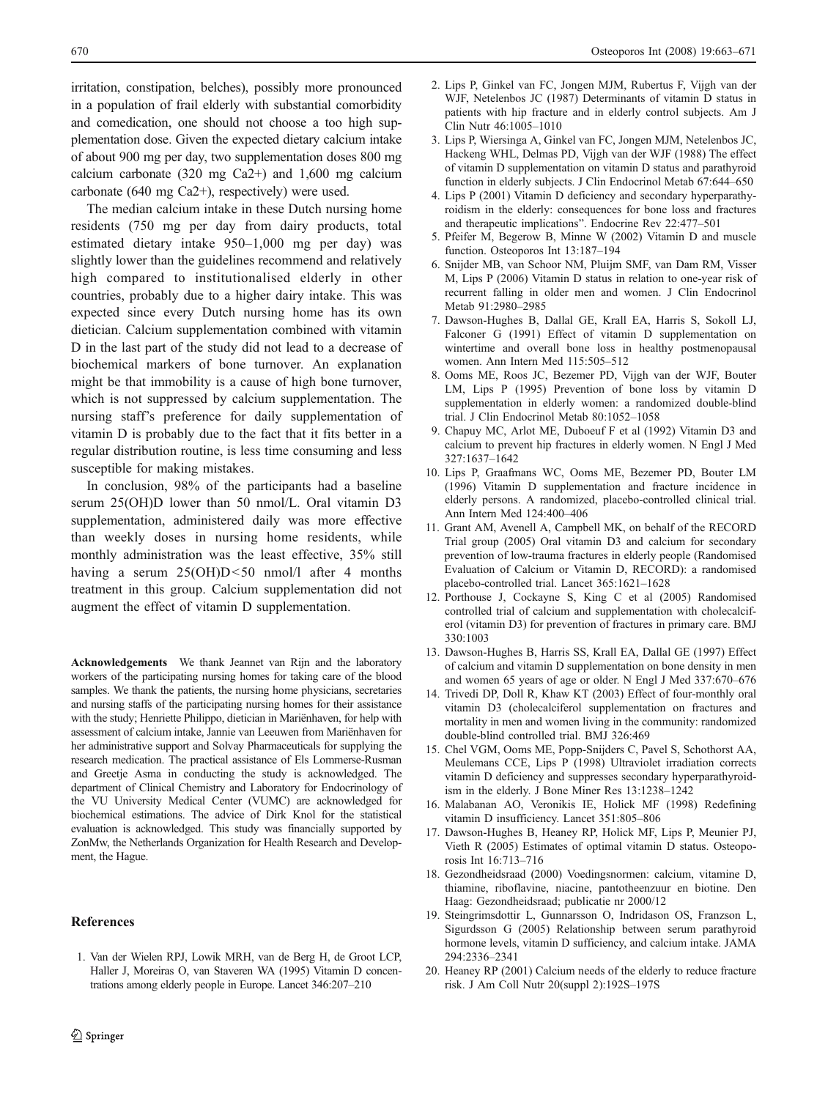<span id="page-7-0"></span>irritation, constipation, belches), possibly more pronounced in a population of frail elderly with substantial comorbidity and comedication, one should not choose a too high supplementation dose. Given the expected dietary calcium intake of about 900 mg per day, two supplementation doses 800 mg calcium carbonate (320 mg Ca2+) and 1,600 mg calcium carbonate (640 mg Ca2+), respectively) were used.

The median calcium intake in these Dutch nursing home residents (750 mg per day from dairy products, total estimated dietary intake 950–1,000 mg per day) was slightly lower than the guidelines recommend and relatively high compared to institutionalised elderly in other countries, probably due to a higher dairy intake. This was expected since every Dutch nursing home has its own dietician. Calcium supplementation combined with vitamin D in the last part of the study did not lead to a decrease of biochemical markers of bone turnover. An explanation might be that immobility is a cause of high bone turnover, which is not suppressed by calcium supplementation. The nursing staff's preference for daily supplementation of vitamin D is probably due to the fact that it fits better in a regular distribution routine, is less time consuming and less susceptible for making mistakes.

In conclusion, 98% of the participants had a baseline serum 25(OH)D lower than 50 nmol/L. Oral vitamin D3 supplementation, administered daily was more effective than weekly doses in nursing home residents, while monthly administration was the least effective, 35% still having a serum 25(OH)D < 50 nmol/l after 4 months treatment in this group. Calcium supplementation did not augment the effect of vitamin D supplementation.

Acknowledgements We thank Jeannet van Rijn and the laboratory workers of the participating nursing homes for taking care of the blood samples. We thank the patients, the nursing home physicians, secretaries and nursing staffs of the participating nursing homes for their assistance with the study; Henriette Philippo, dietician in Mariënhaven, for help with assessment of calcium intake, Jannie van Leeuwen from Mariënhaven for her administrative support and Solvay Pharmaceuticals for supplying the research medication. The practical assistance of Els Lommerse-Rusman and Greetje Asma in conducting the study is acknowledged. The department of Clinical Chemistry and Laboratory for Endocrinology of the VU University Medical Center (VUMC) are acknowledged for biochemical estimations. The advice of Dirk Knol for the statistical evaluation is acknowledged. This study was financially supported by ZonMw, the Netherlands Organization for Health Research and Development, the Hague.

#### References

1. Van der Wielen RPJ, Lowik MRH, van de Berg H, de Groot LCP, Haller J, Moreiras O, van Staveren WA (1995) Vitamin D concentrations among elderly people in Europe. Lancet 346:207–210

- 2. Lips P, Ginkel van FC, Jongen MJM, Rubertus F, Vijgh van der WJF, Netelenbos JC (1987) Determinants of vitamin D status in patients with hip fracture and in elderly control subjects. Am J Clin Nutr 46:1005–1010
- 3. Lips P, Wiersinga A, Ginkel van FC, Jongen MJM, Netelenbos JC, Hackeng WHL, Delmas PD, Vijgh van der WJF (1988) The effect of vitamin D supplementation on vitamin D status and parathyroid function in elderly subjects. J Clin Endocrinol Metab 67:644–650
- 4. Lips P (2001) Vitamin D deficiency and secondary hyperparathyroidism in the elderly: consequences for bone loss and fractures and therapeutic implications". Endocrine Rev 22:477–501
- 5. Pfeifer M, Begerow B, Minne W (2002) Vitamin D and muscle function. Osteoporos Int 13:187–194
- 6. Snijder MB, van Schoor NM, Pluijm SMF, van Dam RM, Visser M, Lips P (2006) Vitamin D status in relation to one-year risk of recurrent falling in older men and women. J Clin Endocrinol Metab 91:2980–2985
- 7. Dawson-Hughes B, Dallal GE, Krall EA, Harris S, Sokoll LJ, Falconer G (1991) Effect of vitamin D supplementation on wintertime and overall bone loss in healthy postmenopausal women. Ann Intern Med 115:505–512
- 8. Ooms ME, Roos JC, Bezemer PD, Vijgh van der WJF, Bouter LM, Lips P (1995) Prevention of bone loss by vitamin D supplementation in elderly women: a randomized double-blind trial. J Clin Endocrinol Metab 80:1052–1058
- 9. Chapuy MC, Arlot ME, Duboeuf F et al (1992) Vitamin D3 and calcium to prevent hip fractures in elderly women. N Engl J Med 327:1637–1642
- 10. Lips P, Graafmans WC, Ooms ME, Bezemer PD, Bouter LM (1996) Vitamin D supplementation and fracture incidence in elderly persons. A randomized, placebo-controlled clinical trial. Ann Intern Med 124:400–406
- 11. Grant AM, Avenell A, Campbell MK, on behalf of the RECORD Trial group (2005) Oral vitamin D3 and calcium for secondary prevention of low-trauma fractures in elderly people (Randomised Evaluation of Calcium or Vitamin D, RECORD): a randomised placebo-controlled trial. Lancet 365:1621–1628
- 12. Porthouse J, Cockayne S, King C et al (2005) Randomised controlled trial of calcium and supplementation with cholecalciferol (vitamin D3) for prevention of fractures in primary care. BMJ 330:1003
- 13. Dawson-Hughes B, Harris SS, Krall EA, Dallal GE (1997) Effect of calcium and vitamin D supplementation on bone density in men and women 65 years of age or older. N Engl J Med 337:670–676
- 14. Trivedi DP, Doll R, Khaw KT (2003) Effect of four-monthly oral vitamin D3 (cholecalciferol supplementation on fractures and mortality in men and women living in the community: randomized double-blind controlled trial. BMJ 326:469
- 15. Chel VGM, Ooms ME, Popp-Snijders C, Pavel S, Schothorst AA, Meulemans CCE, Lips P (1998) Ultraviolet irradiation corrects vitamin D deficiency and suppresses secondary hyperparathyroidism in the elderly. J Bone Miner Res 13:1238–1242
- 16. Malabanan AO, Veronikis IE, Holick MF (1998) Redefining vitamin D insufficiency. Lancet 351:805–806
- 17. Dawson-Hughes B, Heaney RP, Holick MF, Lips P, Meunier PJ, Vieth R (2005) Estimates of optimal vitamin D status. Osteoporosis Int 16:713–716
- 18. Gezondheidsraad (2000) Voedingsnormen: calcium, vitamine D, thiamine, riboflavine, niacine, pantotheenzuur en biotine. Den Haag: Gezondheidsraad; publicatie nr 2000/12
- 19. Steingrimsdottir L, Gunnarsson O, Indridason OS, Franzson L, Sigurdsson G (2005) Relationship between serum parathyroid hormone levels, vitamin D sufficiency, and calcium intake. JAMA 294:2336–2341
- 20. Heaney RP (2001) Calcium needs of the elderly to reduce fracture risk. J Am Coll Nutr 20(suppl 2):192S–197S